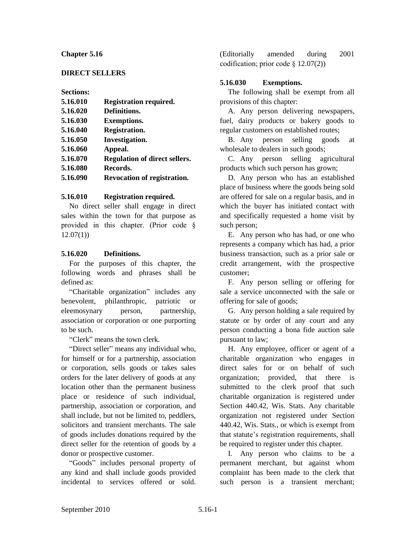#### **Chapter 5.16**

### **DIRECT SELLERS**

#### **Sections:**

| 5.16.010 | <b>Registration required.</b>        |
|----------|--------------------------------------|
| 5.16.020 | Definitions.                         |
| 5.16.030 | <b>Exemptions.</b>                   |
| 5.16.040 | Registration.                        |
| 5.16.050 | Investigation.                       |
| 5.16.060 | Appeal.                              |
| 5.16.070 | <b>Regulation of direct sellers.</b> |
| 5.16.080 | Records.                             |
| 5.16.090 | <b>Revocation of registration.</b>   |
|          |                                      |

#### **5.16.010 Registration required.**

No direct seller shall engage in direct sales within the town for that purpose as provided in this chapter. (Prior code §  $12.07(1)$ 

### **5.16.020 Definitions.**

For the purposes of this chapter, the following words and phrases shall be defined as:

"Charitable organization" includes any benevolent, philanthropic, patriotic or eleemosynary person, partnership, association or corporation or one purporting to be such.

"Clerk" means the town clerk.

"Direct seller" means any individual who, for himself or for a partnership, association or corporation, sells goods or takes sales orders for the later delivery of goods at any location other than the permanent business place or residence of such individual, partnership, association or corporation, and shall include, but not be limited to, peddlers, solicitors and transient merchants. The sale of goods includes donations required by the direct seller for the retention of goods by a donor or prospective customer.

"Goods" includes personal property of any kind and shall include goods provided incidental to services offered or sold.

(Editorially amended during 2001 codification; prior code § 12.07(2))

# **5.16.030 Exemptions.**

The following shall be exempt from all provisions of this chapter:

A. Any person delivering newspapers, fuel, dairy products or bakery goods to regular customers on established routes;

B. Any person selling goods at wholesale to dealers in such goods;

C. Any person selling agricultural products which such person has grown;

D. Any person who has an established place of business where the goods being sold are offered for sale on a regular basis, and in which the buyer has initiated contact with and specifically requested a home visit by such person;

E. Any person who has had, or one who represents a company which has had, a prior business transaction, such as a prior sale or credit arrangement, with the prospective customer;

F. Any person selling or offering for sale a service unconnected with the sale or offering for sale of goods;

G. Any person holding a sale required by statute or by order of any court and any person conducting a bona fide auction sale pursuant to law;

H. Any employee, officer or agent of a charitable organization who engages in direct sales for or on behalf of such organization; provided, that there is submitted to the clerk proof that such charitable organization is registered under Section 440.42, Wis. Stats. Any charitable organization not registered under Section 440.42, Wis. Stats., or which is exempt from that statute's registration requirements, shall be required to register under this chapter.

I. Any person who claims to be a permanent merchant, but against whom complaint has been made to the clerk that such person is a transient merchant;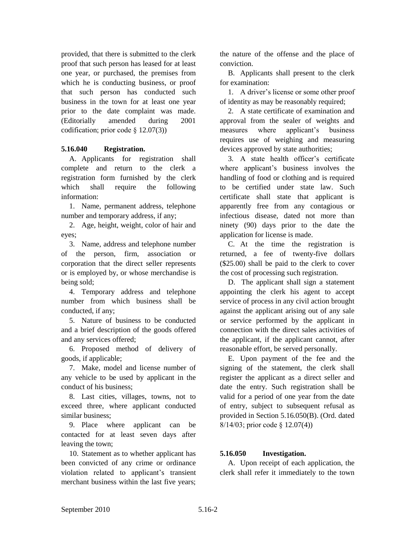provided, that there is submitted to the clerk proof that such person has leased for at least one year, or purchased, the premises from which he is conducting business, or proof that such person has conducted such business in the town for at least one year prior to the date complaint was made. (Editorially amended during 2001 codification; prior code § 12.07(3))

## **5.16.040 Registration.**

A. Applicants for registration shall complete and return to the clerk a registration form furnished by the clerk which shall require the following information:

1. Name, permanent address, telephone number and temporary address, if any;

2. Age, height, weight, color of hair and eyes;

3. Name, address and telephone number of the person, firm, association or corporation that the direct seller represents or is employed by, or whose merchandise is being sold;

4. Temporary address and telephone number from which business shall be conducted, if any;

5. Nature of business to be conducted and a brief description of the goods offered and any services offered;

6. Proposed method of delivery of goods, if applicable;

7. Make, model and license number of any vehicle to be used by applicant in the conduct of his business;

8. Last cities, villages, towns, not to exceed three, where applicant conducted similar business;

9. Place where applicant can be contacted for at least seven days after leaving the town;

10. Statement as to whether applicant has been convicted of any crime or ordinance violation related to applicant's transient merchant business within the last five years;

the nature of the offense and the place of conviction.

B. Applicants shall present to the clerk for examination:

1. A driver's license or some other proof of identity as may be reasonably required;

2. A state certificate of examination and approval from the sealer of weights and measures where applicant's business requires use of weighing and measuring devices approved by state authorities;

3. A state health officer's certificate where applicant's business involves the handling of food or clothing and is required to be certified under state law. Such certificate shall state that applicant is apparently free from any contagious or infectious disease, dated not more than ninety (90) days prior to the date the application for license is made.

C. At the time the registration is returned, a fee of twenty-five dollars (\$25.00) shall be paid to the clerk to cover the cost of processing such registration.

D. The applicant shall sign a statement appointing the clerk his agent to accept service of process in any civil action brought against the applicant arising out of any sale or service performed by the applicant in connection with the direct sales activities of the applicant, if the applicant cannot, after reasonable effort, be served personally.

E. Upon payment of the fee and the signing of the statement, the clerk shall register the applicant as a direct seller and date the entry. Such registration shall be valid for a period of one year from the date of entry, subject to subsequent refusal as provided in Section 5.16.050(B). (Ord. dated 8/14/03; prior code § 12.07(4))

## **5.16.050 Investigation.**

A. Upon receipt of each application, the clerk shall refer it immediately to the town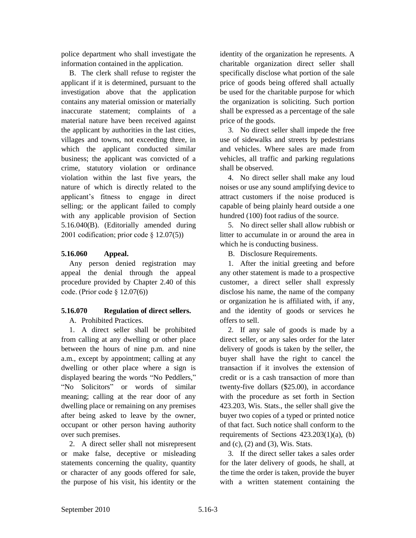police department who shall investigate the information contained in the application.

B. The clerk shall refuse to register the applicant if it is determined, pursuant to the investigation above that the application contains any material omission or materially inaccurate statement; complaints of a material nature have been received against the applicant by authorities in the last cities, villages and towns, not exceeding three, in which the applicant conducted similar business; the applicant was convicted of a crime, statutory violation or ordinance violation within the last five years, the nature of which is directly related to the applicant's fitness to engage in direct selling; or the applicant failed to comply with any applicable provision of Section 5.16.040(B). (Editorially amended during 2001 codification; prior code § 12.07(5))

# **5.16.060 Appeal.**

Any person denied registration may appeal the denial through the appeal procedure provided by Chapter 2.40 of this code. (Prior code § 12.07(6))

# **5.16.070 Regulation of direct sellers.**

A. Prohibited Practices.

1. A direct seller shall be prohibited from calling at any dwelling or other place between the hours of nine p.m. and nine a.m., except by appointment; calling at any dwelling or other place where a sign is displayed bearing the words "No Peddlers," "No Solicitors" or words of similar meaning; calling at the rear door of any dwelling place or remaining on any premises after being asked to leave by the owner, occupant or other person having authority over such premises.

2. A direct seller shall not misrepresent or make false, deceptive or misleading statements concerning the quality, quantity or character of any goods offered for sale, the purpose of his visit, his identity or the

identity of the organization he represents. A charitable organization direct seller shall specifically disclose what portion of the sale price of goods being offered shall actually be used for the charitable purpose for which the organization is soliciting. Such portion shall be expressed as a percentage of the sale price of the goods.

3. No direct seller shall impede the free use of sidewalks and streets by pedestrians and vehicles. Where sales are made from vehicles, all traffic and parking regulations shall be observed.

4. No direct seller shall make any loud noises or use any sound amplifying device to attract customers if the noise produced is capable of being plainly heard outside a one hundred (100) foot radius of the source.

5. No direct seller shall allow rubbish or litter to accumulate in or around the area in which he is conducting business.

B. Disclosure Requirements.

1. After the initial greeting and before any other statement is made to a prospective customer, a direct seller shall expressly disclose his name, the name of the company or organization he is affiliated with, if any, and the identity of goods or services he offers to sell.

2. If any sale of goods is made by a direct seller, or any sales order for the later delivery of goods is taken by the seller, the buyer shall have the right to cancel the transaction if it involves the extension of credit or is a cash transaction of more than twenty-five dollars (\$25.00), in accordance with the procedure as set forth in Section 423.203, Wis. Stats., the seller shall give the buyer two copies of a typed or printed notice of that fact. Such notice shall conform to the requirements of Sections 423.203(1)(a), (b) and (c), (2) and (3), Wis. Stats.

3. If the direct seller takes a sales order for the later delivery of goods, he shall, at the time the order is taken, provide the buyer with a written statement containing the